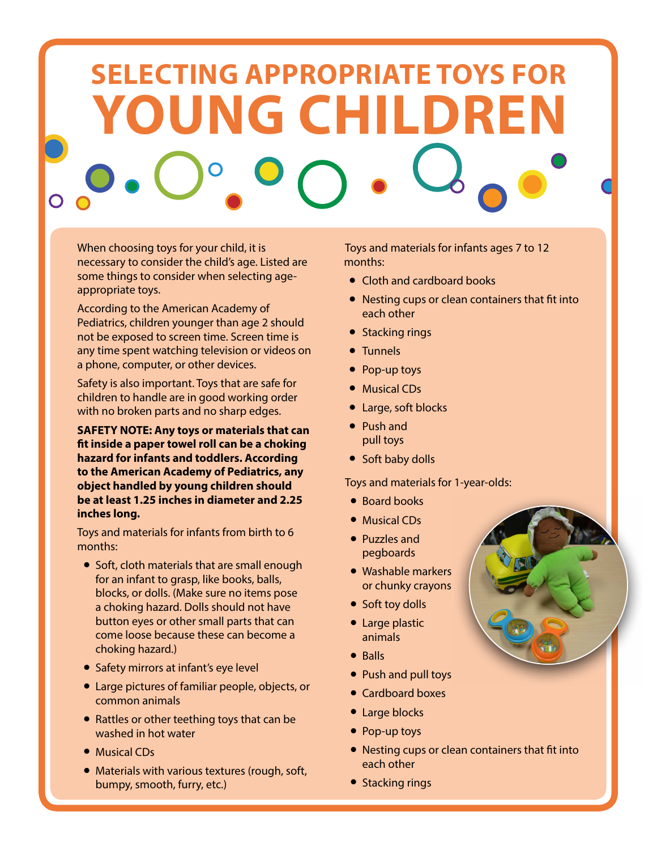# **SELECTING APPROPRIATE TOYS FOR YOUNG CHILDREN**

When choosing toys for your child, it is necessary to consider the child's age. Listed are some things to consider when selecting ageappropriate toys.

According to the American Academy of Pediatrics, children younger than age 2 should not be exposed to screen time. Screen time is any time spent watching television or videos on a phone, computer, or other devices.

Safety is also important. Toys that are safe for children to handle are in good working order with no broken parts and no sharp edges.

**SAFETY NOTE: Any toys or materials that can fit inside a paper towel roll can be a choking hazard for infants and toddlers. According to the American Academy of Pediatrics, any object handled by young children should be at least 1.25 inches in diameter and 2.25 inches long.**

Toys and materials for infants from birth to 6 months:

- Soft, cloth materials that are small enough for an infant to grasp, like books, balls, blocks, or dolls. (Make sure no items pose a choking hazard. Dolls should not have button eyes or other small parts that can come loose because these can become a choking hazard.)
- Safety mirrors at infant's eye level
- Large pictures of familiar people, objects, or common animals
- Rattles or other teething toys that can be washed in hot water
- Musical CDs
- Materials with various textures (rough, soft, bumpy, smooth, furry, etc.)

Toys and materials for infants ages 7 to 12 months:

- Cloth and cardboard books
- Nesting cups or clean containers that fit into each other
- Stacking rings
- Tunnels
- Pop-up toys
- Musical CDs
- Large, soft blocks
- Push and pull toys
- Soft baby dolls

Toys and materials for 1-year-olds:

- Board books
- Musical CDs
- Puzzles and pegboards
- Washable markers or chunky crayons
- Soft toy dolls
- Large plastic animals
- Balls
- Push and pull toys
- Cardboard boxes
- Large blocks
- Pop-up toys
- Nesting cups or clean containers that fit into each other
- Stacking rings